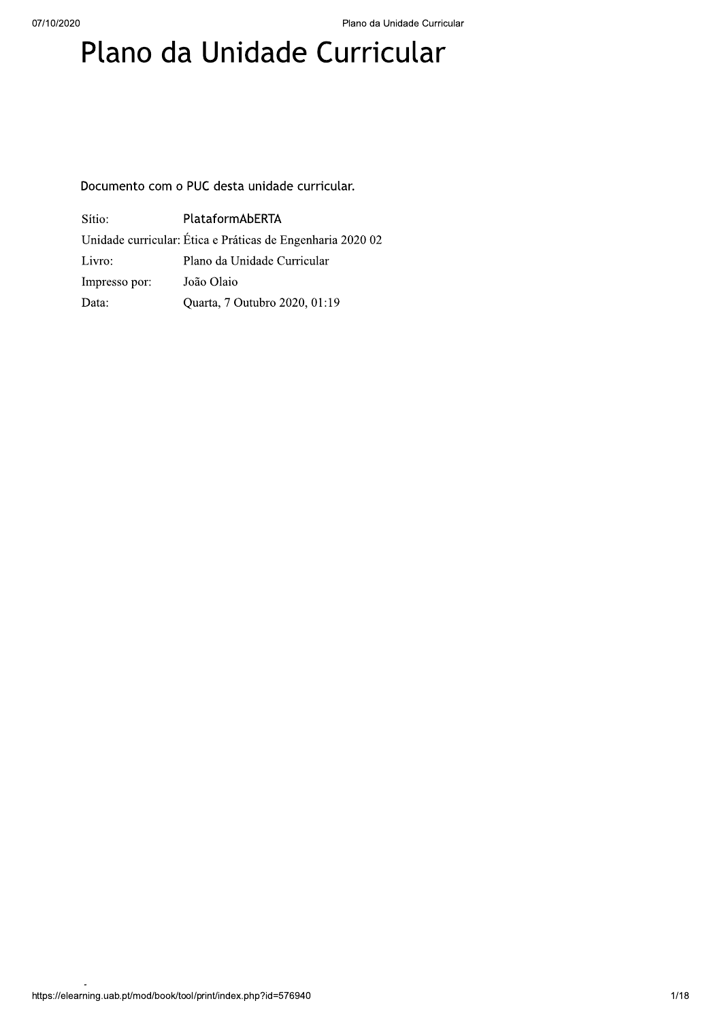# Plano da Unidade Curricular

Documento com o PUC desta unidade curricular.

| Sítio:        | PlataformAbERTA                                            |
|---------------|------------------------------------------------------------|
|               | Unidade curricular: Ética e Práticas de Engenharia 2020 02 |
| Livro:        | Plano da Unidade Curricular                                |
| Impresso por: | João Olaio                                                 |
| Data:         | Quarta, 7 Outubro 2020, 01:19                              |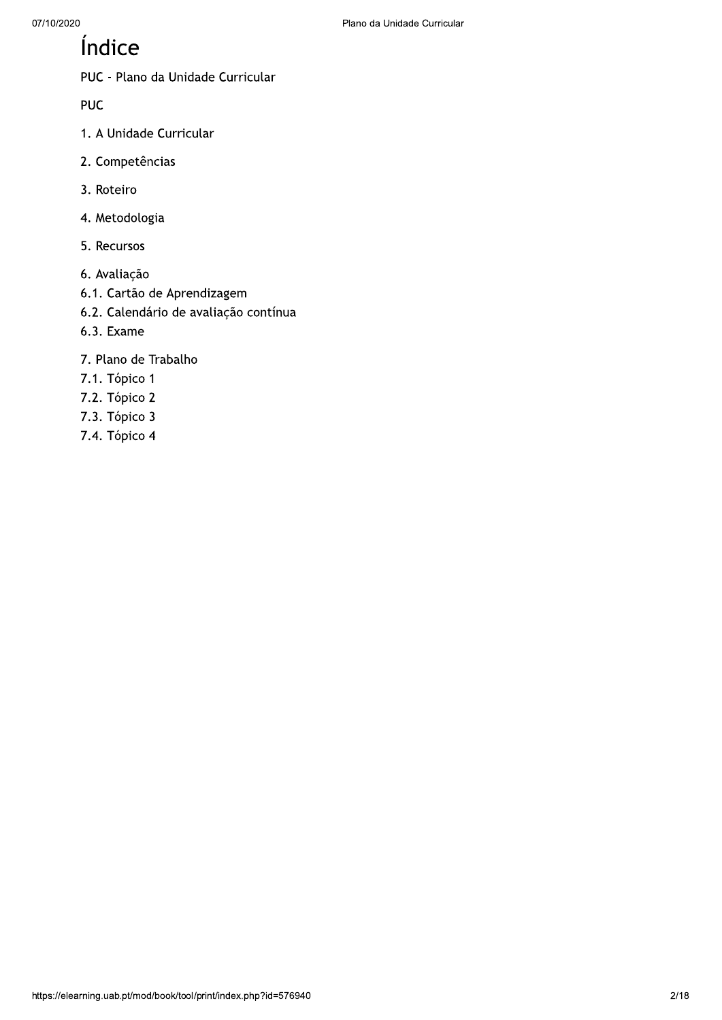# Índice

PUC - Plano da Unidade Curricular

**PUC** 

- 1. A Unidade Curricular
- 2. Competências
- 3. Roteiro
- 4. Metodologia
- 5. Recursos
- 6. Avaliação
- 6.1. Cartão de Aprendizagem
- 6.2. Calendário de avaliação contínua
- 6.3. Exame
- 7. Plano de Trabalho
- 7.1. Tópico 1
- 7.2. Tópico 2
- 7.3. Tópico 3
- 7.4. Tópico 4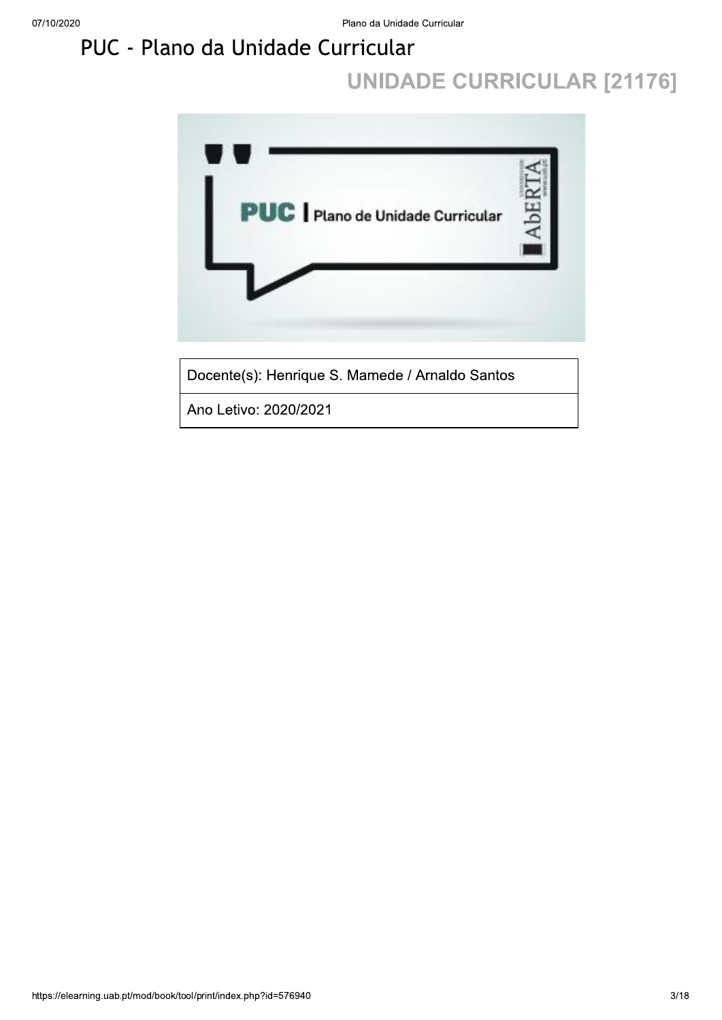# PUC - Plano da Unidade Curricular

# **UNIDADE CURRICULAR [21176]**

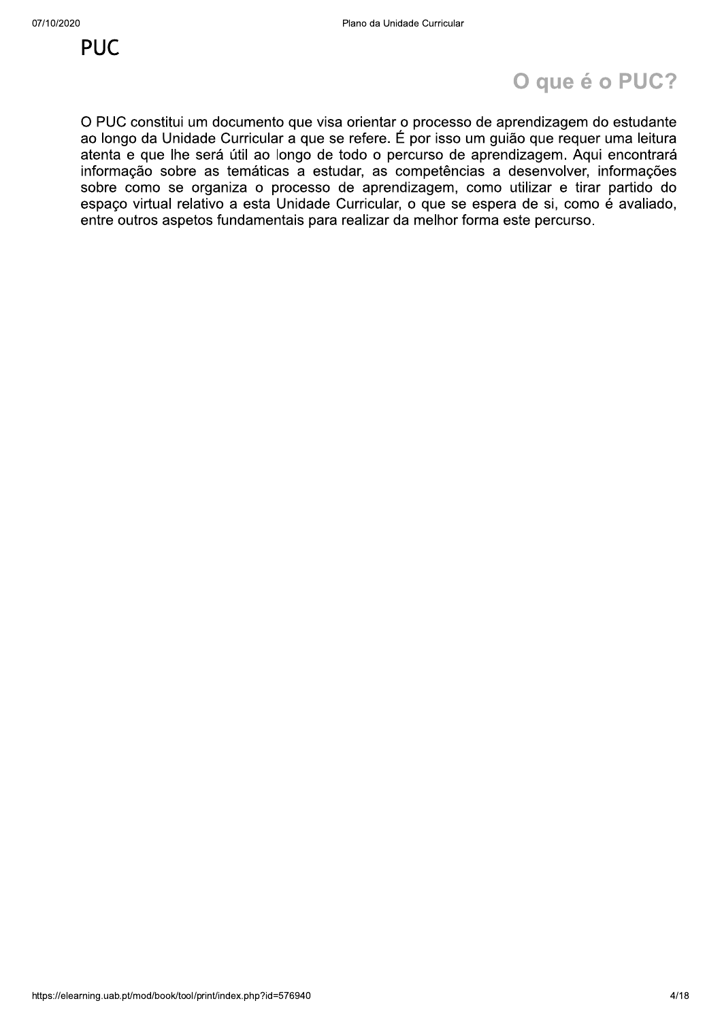# O que é o PUC?

O PUC constitui um documento que visa orientar o processo de aprendizagem do estudante ao longo da Unidade Curricular a que se refere. É por isso um guião que requer uma leitura atenta e que lhe será útil ao longo de todo o percurso de aprendizagem. Aqui encontrará informação sobre as temáticas a estudar, as competências a desenvolver, informações sobre como se organiza o processo de aprendizagem, como utilizar e tirar partido do espaço virtual relativo a esta Unidade Curricular, o que se espera de si, como é avaliado, entre outros aspetos fundamentais para realizar da melhor forma este percurso.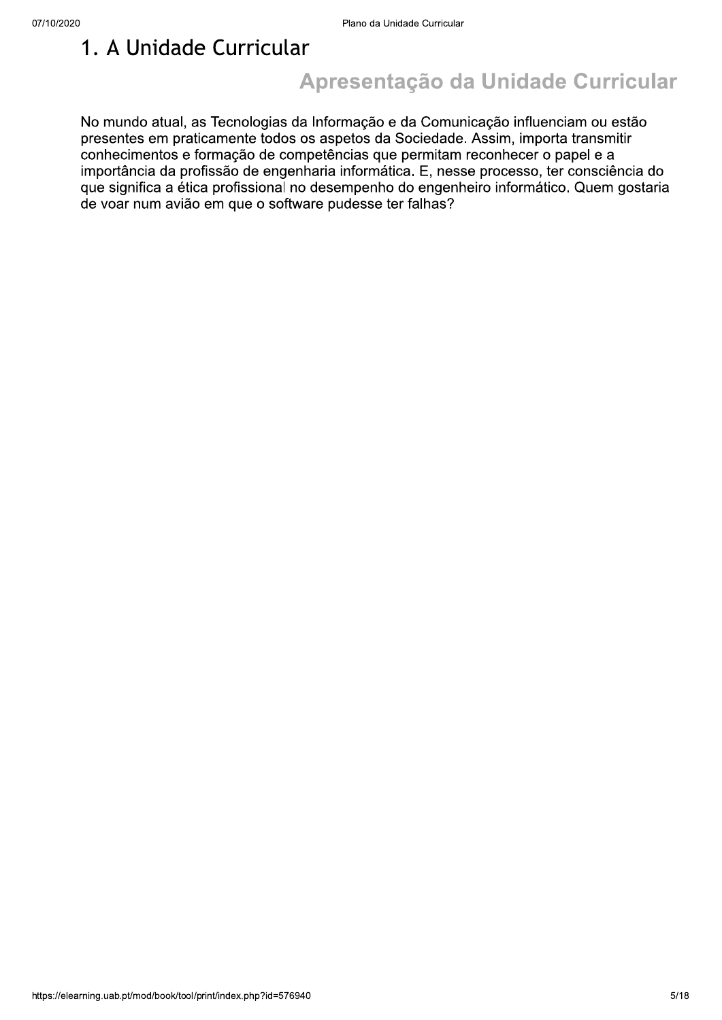### 1. A Unidade Curricular

# Apresentação da Unidade Curricular

No mundo atual, as Tecnologias da Informação e da Comunicação influenciam ou estão presentes em praticamente todos os aspetos da Sociedade. Assim, importa transmitir conhecimentos e formação de competências que permitam reconhecer o papel e a importância da profissão de engenharia informática. E, nesse processo, ter consciência do que significa a ética profissional no desempenho do engenheiro informático. Quem gostaria de voar num avião em que o software pudesse ter falhas?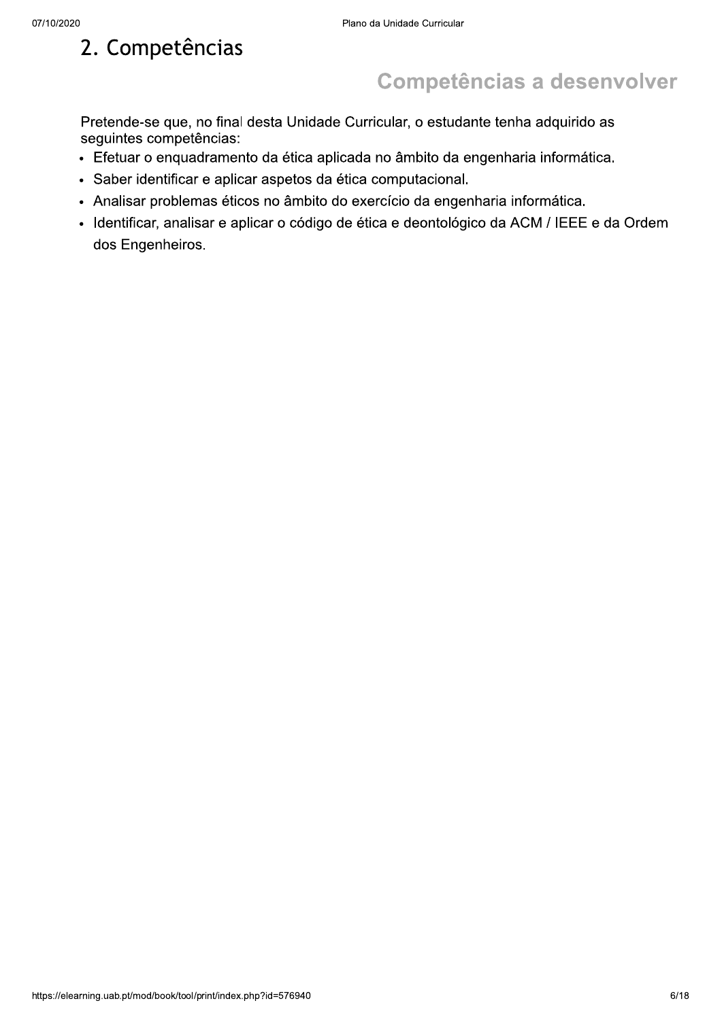# 2. Competências

# **Competências a desenvolver**

Pretende-se que, no final desta Unidade Curricular, o estudante tenha adquirido as seguintes competências:

- · Efetuar o enquadramento da ética aplicada no âmbito da engenharia informática.
- · Saber identificar e aplicar aspetos da ética computacional.
- · Analisar problemas éticos no âmbito do exercício da engenharia informática.
- · Identificar, analisar e aplicar o código de ética e deontológico da ACM / IEEE e da Ordem dos Engenheiros.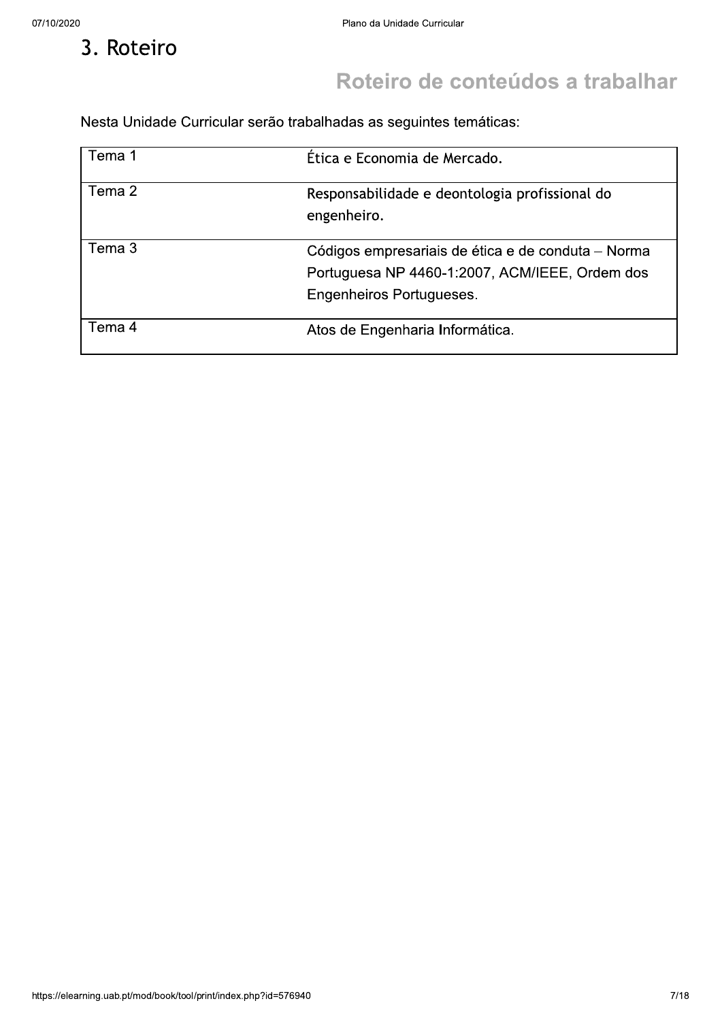3. Roteiro

# Roteiro de conteúdos a trabalhar

Nesta Unidade Curricular serão trabalhadas as seguintes temáticas:

| Tema 1 | Ética e Economia de Mercado.                                                                                                     |
|--------|----------------------------------------------------------------------------------------------------------------------------------|
| Tema 2 | Responsabilidade e deontologia profissional do<br>engenheiro.                                                                    |
| Tema 3 | Códigos empresariais de ética e de conduta – Norma<br>Portuguesa NP 4460-1:2007, ACM/IEEE, Ordem dos<br>Engenheiros Portugueses. |
| Tema 4 | Atos de Engenharia Informática.                                                                                                  |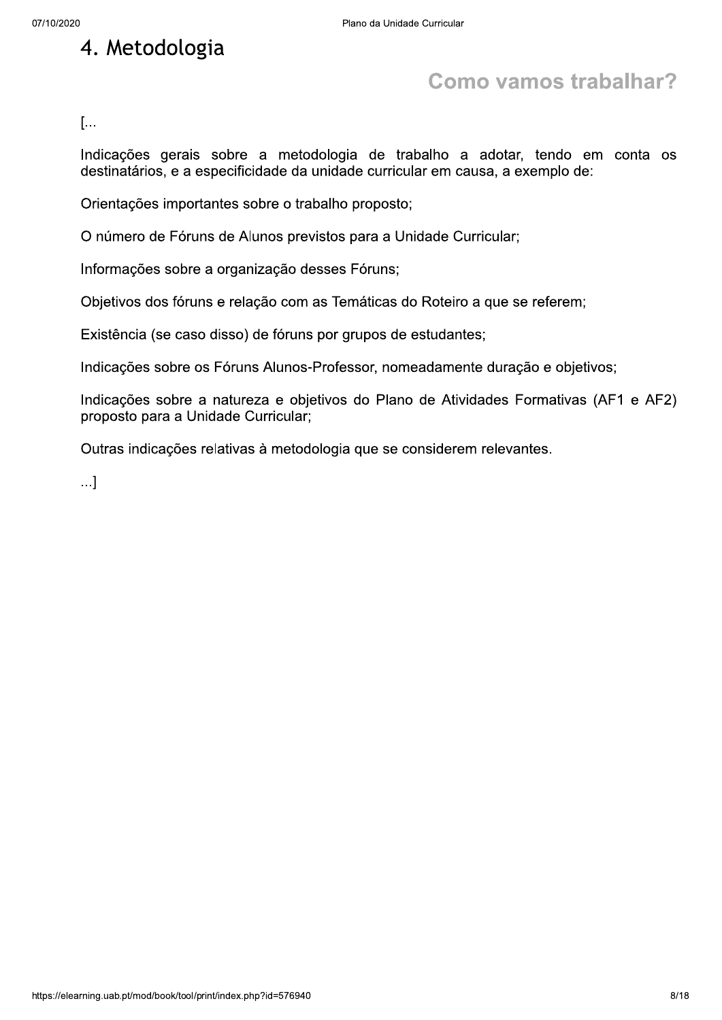# 4. Metodologia

# **Como vamos trabalhar?**

 $[\dots]$ 

Indicações gerais sobre a metodologia de trabalho a adotar, tendo em conta os destinatários, e a especificidade da unidade curricular em causa, a exemplo de:

Orientações importantes sobre o trabalho proposto;

O número de Fóruns de Alunos previstos para a Unidade Curricular;

Informações sobre a organização desses Fóruns;

Objetivos dos fóruns e relação com as Temáticas do Roteiro a que se referem;

Existência (se caso disso) de fóruns por grupos de estudantes;

Indicações sobre os Fóruns Alunos-Professor, nomeadamente duração e objetivos;

Indicações sobre a natureza e objetivos do Plano de Atividades Formativas (AF1 e AF2) proposto para a Unidade Curricular;

Outras indicações relativas à metodologia que se considerem relevantes.

 $\ldots$ ]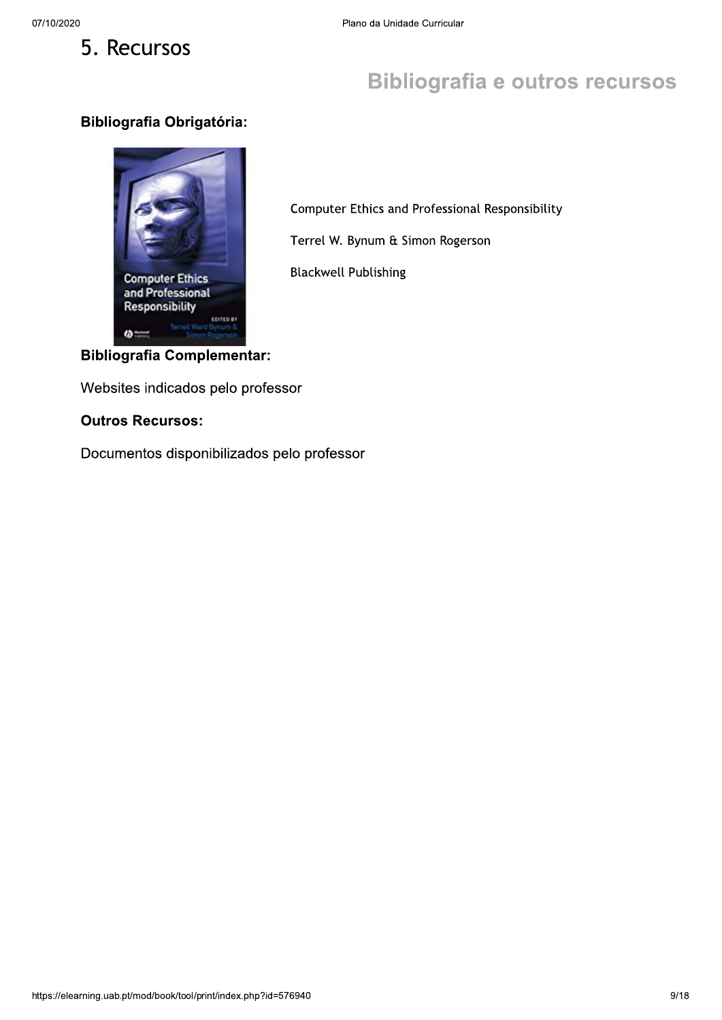### **Bibliografia e outros recursos**

#### **Bibliografia Obrigatória:**



Computer Ethics and Professional Responsibility

Terrel W. Bynum & Simon Rogerson

**Blackwell Publishing** 

#### **Bibliografia Complementar:**

Websites indicados pelo professor

#### **Outros Recursos:**

Documentos disponibilizados pelo professor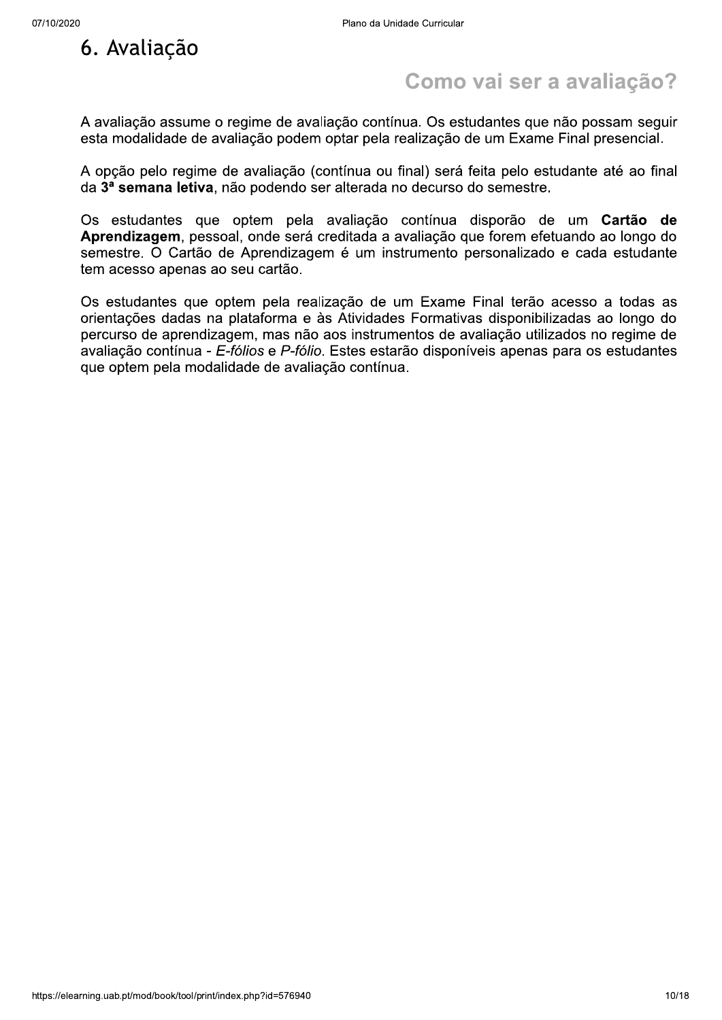

## Como vai ser a avaliação?

A avaliação assume o regime de avaliação contínua. Os estudantes que não possam seguir esta modalidade de avaliação podem optar pela realização de um Exame Final presencial.

A opção pelo regime de avaliação (contínua ou final) será feita pelo estudante até ao final da 3ª semana letiva, não podendo ser alterada no decurso do semestre.

Os estudantes que optem pela avaliação contínua disporão de um Cartão de Aprendizagem, pessoal, onde será creditada a avaliação que forem efetuando ao longo do semestre. O Cartão de Aprendizagem é um instrumento personalizado e cada estudante tem acesso apenas ao seu cartão.

Os estudantes que optem pela realização de um Exame Final terão acesso a todas as orientações dadas na plataforma e às Atividades Formativas disponibilizadas ao longo do percurso de aprendizagem, mas não aos instrumentos de avaliação utilizados no regime de avaliação contínua - E-fólios e P-fólio. Estes estarão disponíveis apenas para os estudantes que optem pela modalidade de avaliação contínua.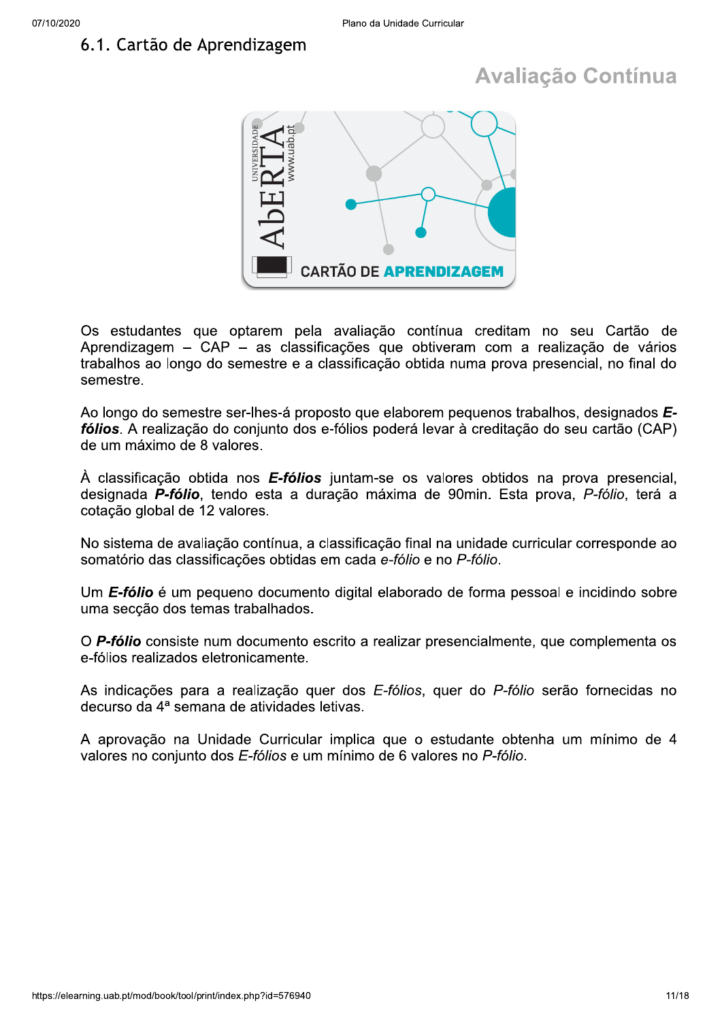### 6.1. Cartão de Aprendizagem

# **Avaliação Contínua**



Os estudantes que optarem pela avaliação contínua creditam no seu Cartão de Aprendizagem – CAP – as classificações que obtiveram com a realização de vários trabalhos ao longo do semestre e a classificação obtida numa prova presencial, no final do semestre.

Ao longo do semestre ser-lhes-á proposto que elaborem pequenos trabalhos, designados Efólios. A realização do conjunto dos e-fólios poderá levar à creditação do seu cartão (CAP) de um máximo de 8 valores.

À classificação obtida nos **E-fólios** juntam-se os valores obtidos na prova presencial, designada P-fólio, tendo esta a duração máxima de 90min. Esta prova, P-fólio, terá a cotação global de 12 valores.

No sistema de avaliação contínua, a classificação final na unidade curricular corresponde ao somatório das classificações obtidas em cada e-fólio e no P-fólio.

Um E-fólio é um pequeno documento digital elaborado de forma pessoal e incidindo sobre uma seccão dos temas trabalhados.

O P-fólio consiste num documento escrito a realizar presencialmente, que complementa os e-fólios realizados eletronicamente.

As indicações para a realização quer dos E-fólios, quer do P-fólio serão fornecidas no decurso da 4ª semana de atividades letivas.

A aprovação na Unidade Curricular implica que o estudante obtenha um mínimo de 4 valores no conjunto dos E-fólios e um mínimo de 6 valores no P-fólio.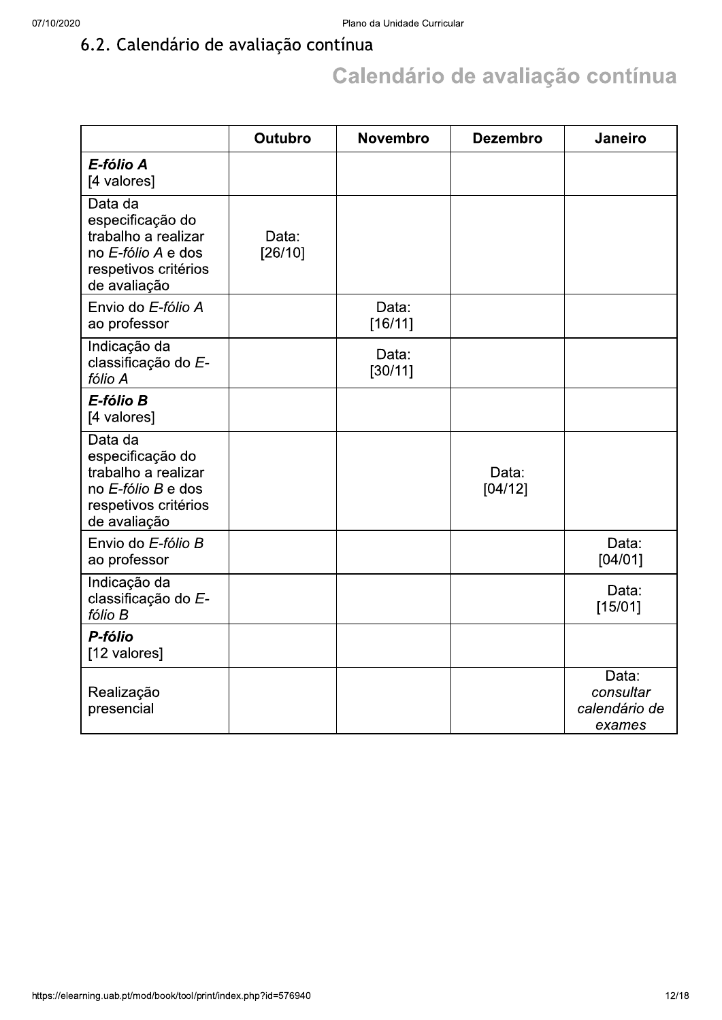### 6.2. Calendário de avaliação contínua

# Calendário de avaliação contínua

|                                                                                                                  | Outubro          | <b>Novembro</b>  | <b>Dezembro</b>  | Janeiro                                       |
|------------------------------------------------------------------------------------------------------------------|------------------|------------------|------------------|-----------------------------------------------|
| E-fólio A<br>[4 valores]                                                                                         |                  |                  |                  |                                               |
| Data da<br>especificação do<br>trabalho a realizar<br>no E-fólio A e dos<br>respetivos critérios<br>de avaliação | Data:<br>[26/10] |                  |                  |                                               |
| Envio do E-fólio A<br>ao professor                                                                               |                  | Data:<br>[16/11] |                  |                                               |
| Indicação da<br>classificação do E-<br>fólio A                                                                   |                  | Data:<br>[30/11] |                  |                                               |
| E-fólio B<br>[4 valores]                                                                                         |                  |                  |                  |                                               |
| Data da<br>especificação do<br>trabalho a realizar<br>no E-fólio B e dos<br>respetivos critérios<br>de avaliação |                  |                  | Data:<br>[04/12] |                                               |
| Envio do E-fólio B<br>ao professor                                                                               |                  |                  |                  | Data:<br>[04/01]                              |
| Indicação da<br>classificação do E-<br>fólio B                                                                   |                  |                  |                  | Data:<br>[15/01]                              |
| P-fólio<br>[12 valores]                                                                                          |                  |                  |                  |                                               |
| Realização<br>presencial                                                                                         |                  |                  |                  | Data:<br>consultar<br>calendário de<br>exames |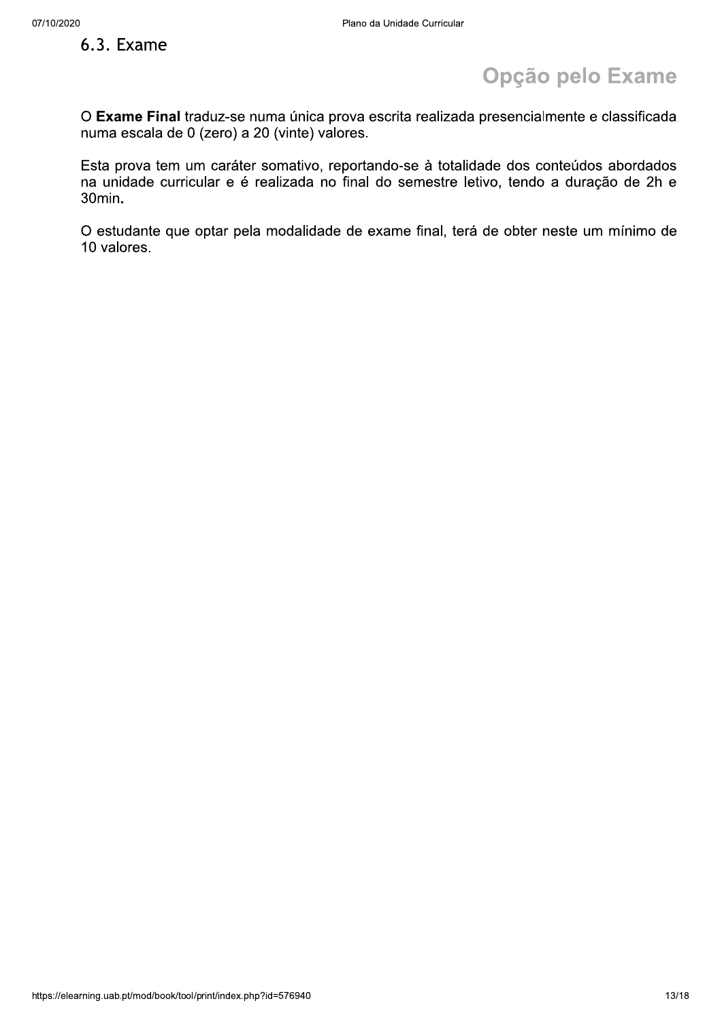#### 6.3. Exame

# Opção pelo Exame

O Exame Final traduz-se numa única prova escrita realizada presencialmente e classificada numa escala de 0 (zero) a 20 (vinte) valores.

Esta prova tem um caráter somativo, reportando-se à totalidade dos conteúdos abordados na unidade curricular e é realizada no final do semestre letivo, tendo a duração de 2h e  $30$ min.

O estudante que optar pela modalidade de exame final, terá de obter neste um mínimo de 10 valores.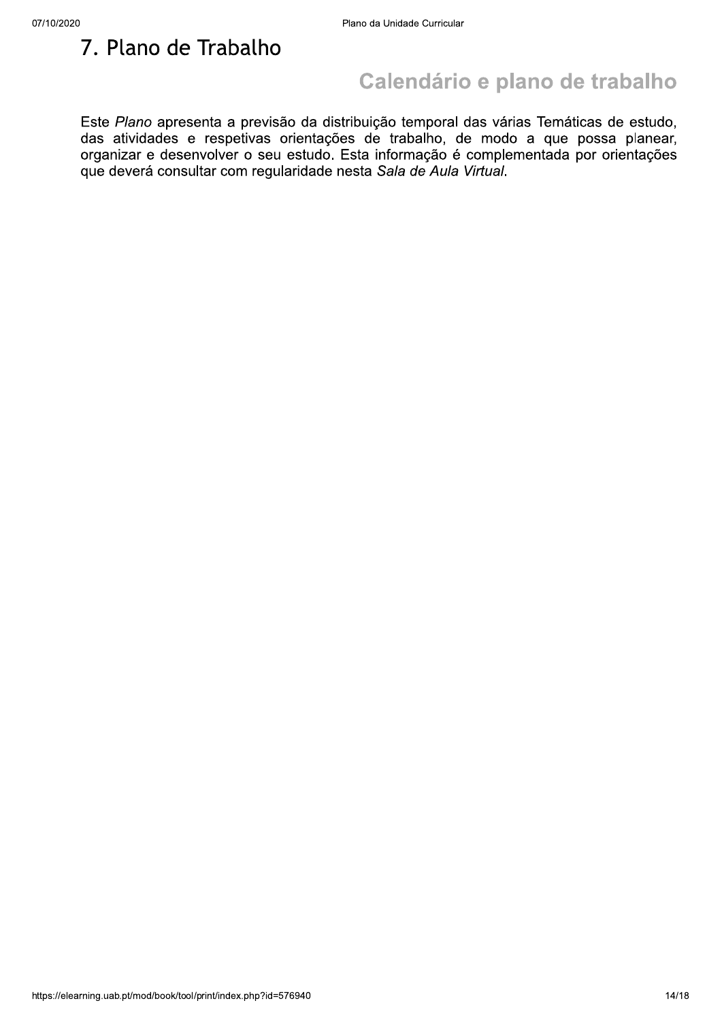7. Plano de Trabalho

### Calendário e plano de trabalho

Este Plano apresenta a previsão da distribuição temporal das várias Temáticas de estudo, das atividades e respetivas orientações de trabalho, de modo a que possa planear, organizar e desenvolver o seu estudo. Esta informação é complementada por orientações que deverá consultar com regularidade nesta Sala de Aula Virtual.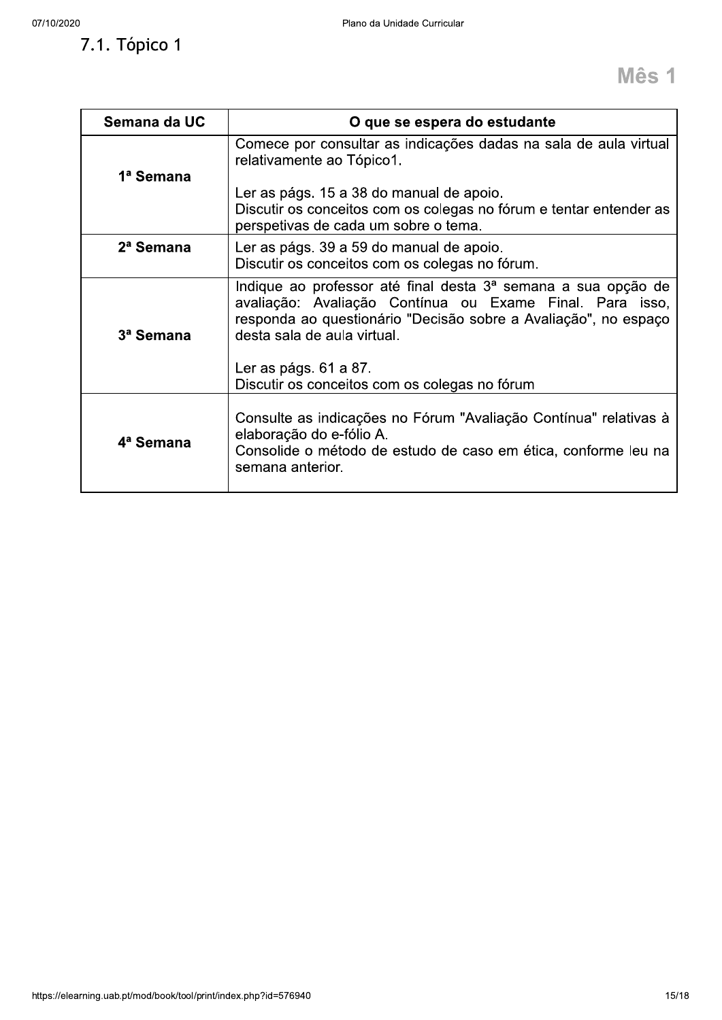### 7.1. Tópico 1

| Semana da UC          | O que se espera do estudante                                                                                                                                                                                                |
|-----------------------|-----------------------------------------------------------------------------------------------------------------------------------------------------------------------------------------------------------------------------|
| 1ª Semana             | Comece por consultar as indicações dadas na sala de aula virtual<br>relativamente ao Tópico1.                                                                                                                               |
|                       | Ler as págs. 15 a 38 do manual de apoio.<br>Discutir os conceitos com os colegas no fórum e tentar entender as<br>perspetivas de cada um sobre o tema.                                                                      |
| 2 <sup>a</sup> Semana | Ler as págs. 39 a 59 do manual de apoio.<br>Discutir os conceitos com os colegas no fórum.                                                                                                                                  |
| 3ª Semana             | Indique ao professor até final desta 3ª semana a sua opção de<br>avaliação: Avaliação Contínua ou Exame Final. Para isso,<br>responda ao questionário "Decisão sobre a Avaliação", no espaço<br>desta sala de aula virtual. |
|                       | Ler as págs. 61 a 87.<br>Discutir os conceitos com os colegas no fórum                                                                                                                                                      |
| 4 <sup>a</sup> Semana | Consulte as indicações no Fórum "Avaliação Contínua" relativas à<br>elaboração do e-fólio A.<br>Consolide o método de estudo de caso em ética, conforme leu na<br>semana anterior.                                          |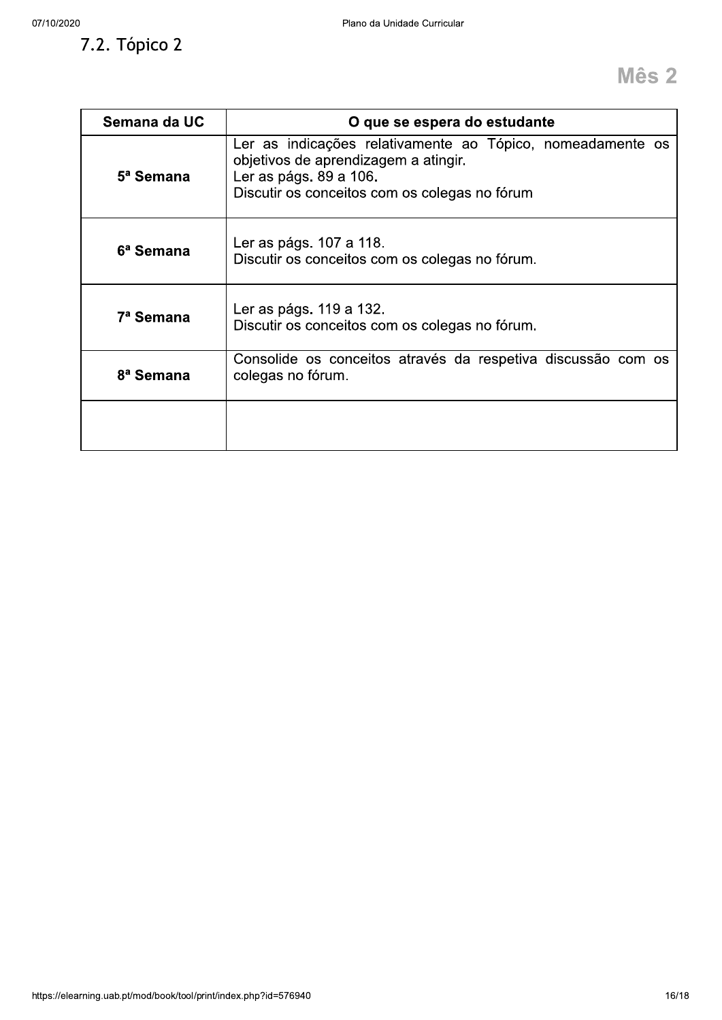7.2. Tópico 2

| Semana da UC          | O que se espera do estudante                                                                                                                                                  |
|-----------------------|-------------------------------------------------------------------------------------------------------------------------------------------------------------------------------|
| 5 <sup>a</sup> Semana | Ler as indicações relativamente ao Tópico, nomeadamente os<br>objetivos de aprendizagem a atingir.<br>Ler as págs. 89 a 106.<br>Discutir os conceitos com os colegas no fórum |
| 6 <sup>a</sup> Semana | Ler as págs. 107 a 118.<br>Discutir os conceitos com os colegas no fórum.                                                                                                     |
| 7 <sup>a</sup> Semana | Ler as págs. 119 a 132.<br>Discutir os conceitos com os colegas no fórum.                                                                                                     |
| 8 <sup>ª</sup> Semana | Consolide os conceitos através da respetiva discussão com os<br>colegas no fórum.                                                                                             |
|                       |                                                                                                                                                                               |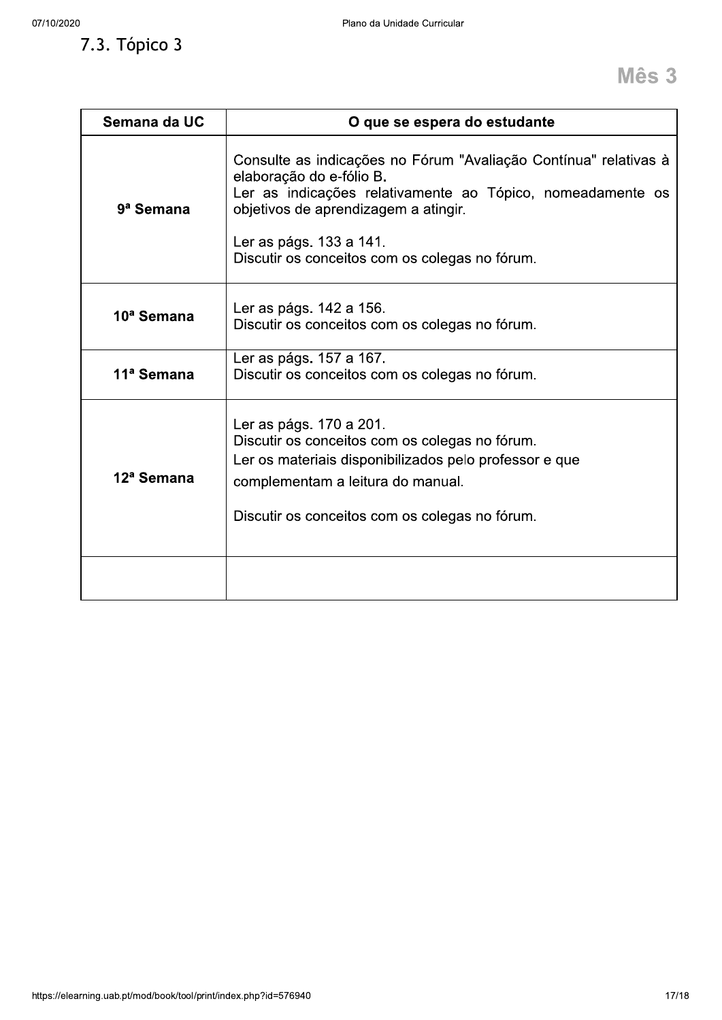7.3. Tópico 3

| Semana da UC           | O que se espera do estudante                                                                                                                                                                                                                                                    |
|------------------------|---------------------------------------------------------------------------------------------------------------------------------------------------------------------------------------------------------------------------------------------------------------------------------|
| 9 <sup>a</sup> Semana  | Consulte as indicações no Fórum "Avaliação Contínua" relativas à<br>elaboração do e-fólio B.<br>Ler as indicações relativamente ao Tópico, nomeadamente os<br>objetivos de aprendizagem a atingir.<br>Ler as págs. 133 a 141.<br>Discutir os conceitos com os colegas no fórum. |
| 10 <sup>ª</sup> Semana | Ler as págs. 142 a 156.<br>Discutir os conceitos com os colegas no fórum.                                                                                                                                                                                                       |
| 11 <sup>ª</sup> Semana | Ler as págs. 157 a 167.<br>Discutir os conceitos com os colegas no fórum.                                                                                                                                                                                                       |
| 12 <sup>ª</sup> Semana | Ler as págs. 170 a 201.<br>Discutir os conceitos com os colegas no fórum.<br>Ler os materiais disponibilizados pelo professor e que<br>complementam a leitura do manual.<br>Discutir os conceitos com os colegas no fórum.                                                      |
|                        |                                                                                                                                                                                                                                                                                 |